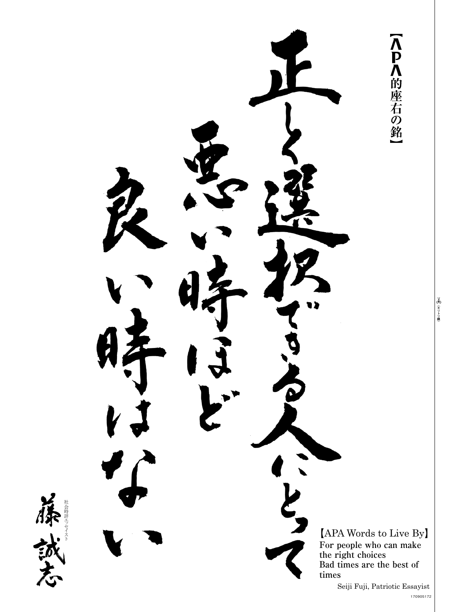<P<的座右の銘  $[APA$  Words to Live By For people who can make **the right choices** Bad times are the best of **times** Seiji Fuji, Patriotic Essayist

170905172